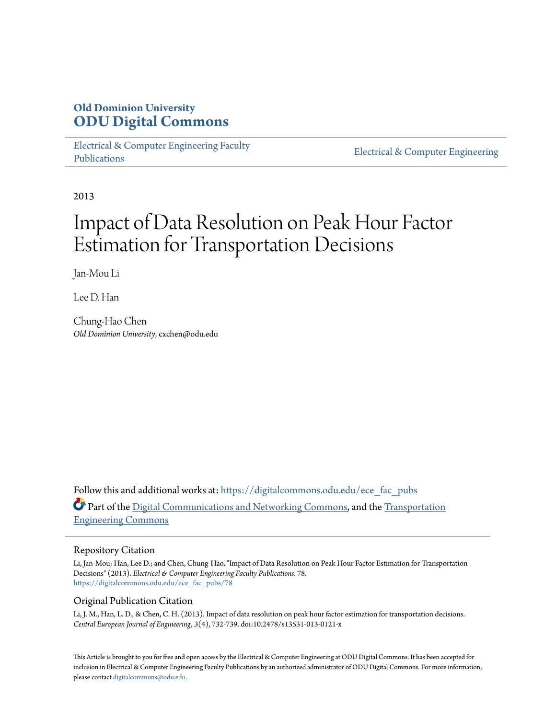## **Old Dominion University [ODU Digital Commons](https://digitalcommons.odu.edu?utm_source=digitalcommons.odu.edu%2Fece_fac_pubs%2F78&utm_medium=PDF&utm_campaign=PDFCoverPages)**

[Electrical & Computer Engineering Faculty](https://digitalcommons.odu.edu/ece_fac_pubs?utm_source=digitalcommons.odu.edu%2Fece_fac_pubs%2F78&utm_medium=PDF&utm_campaign=PDFCoverPages) [Publications](https://digitalcommons.odu.edu/ece_fac_pubs?utm_source=digitalcommons.odu.edu%2Fece_fac_pubs%2F78&utm_medium=PDF&utm_campaign=PDFCoverPages)

[Electrical & Computer Engineering](https://digitalcommons.odu.edu/ece?utm_source=digitalcommons.odu.edu%2Fece_fac_pubs%2F78&utm_medium=PDF&utm_campaign=PDFCoverPages)

2013

# Impact of Data Resolution on Peak Hour Factor Estimation for Transportation Decisions

Jan-Mou Li

Lee D. Han

Chung-Hao Chen *Old Dominion University*, cxchen@odu.edu

Follow this and additional works at: [https://digitalcommons.odu.edu/ece\\_fac\\_pubs](https://digitalcommons.odu.edu/ece_fac_pubs?utm_source=digitalcommons.odu.edu%2Fece_fac_pubs%2F78&utm_medium=PDF&utm_campaign=PDFCoverPages) Part of the [Digital Communications and Networking Commons,](http://network.bepress.com/hgg/discipline/262?utm_source=digitalcommons.odu.edu%2Fece_fac_pubs%2F78&utm_medium=PDF&utm_campaign=PDFCoverPages) and the [Transportation](http://network.bepress.com/hgg/discipline/1329?utm_source=digitalcommons.odu.edu%2Fece_fac_pubs%2F78&utm_medium=PDF&utm_campaign=PDFCoverPages) [Engineering Commons](http://network.bepress.com/hgg/discipline/1329?utm_source=digitalcommons.odu.edu%2Fece_fac_pubs%2F78&utm_medium=PDF&utm_campaign=PDFCoverPages)

#### Repository Citation

Li, Jan-Mou; Han, Lee D.; and Chen, Chung-Hao, "Impact of Data Resolution on Peak Hour Factor Estimation for Transportation Decisions" (2013). *Electrical & Computer Engineering Faculty Publications*. 78. [https://digitalcommons.odu.edu/ece\\_fac\\_pubs/78](https://digitalcommons.odu.edu/ece_fac_pubs/78?utm_source=digitalcommons.odu.edu%2Fece_fac_pubs%2F78&utm_medium=PDF&utm_campaign=PDFCoverPages)

#### Original Publication Citation

Li, J. M., Han, L. D., & Chen, C. H. (2013). Impact of data resolution on peak hour factor estimation for transportation decisions. *Central European Journal of Engineering, 3*(4), 732-739. doi:10.2478/s13531-013-0121-x

This Article is brought to you for free and open access by the Electrical & Computer Engineering at ODU Digital Commons. It has been accepted for inclusion in Electrical & Computer Engineering Faculty Publications by an authorized administrator of ODU Digital Commons. For more information, please contact [digitalcommons@odu.edu](mailto:digitalcommons@odu.edu).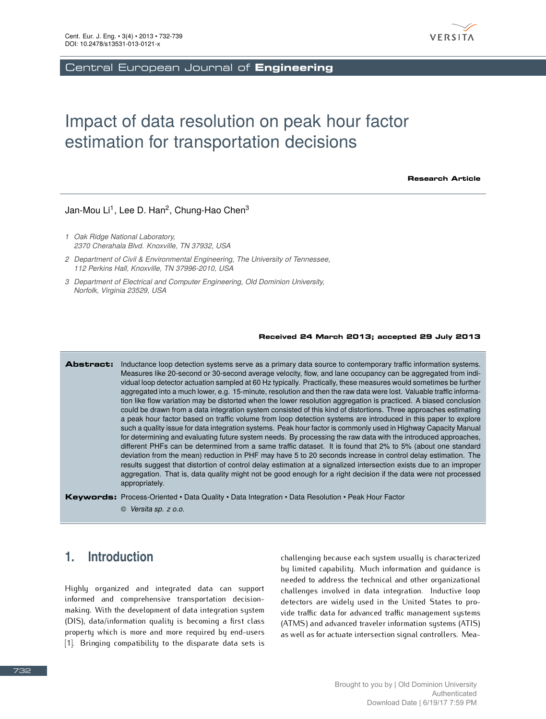

Central European Journal of **Engineering**

## Impact of data resolution on peak hour factor estimation for transportation decisions

**Research Article**

#### Jan-Mou Li<sup>1</sup>, Lee D. Han<sup>2</sup>, Chung-Hao Chen<sup>3</sup>

- *1 Oak Ridge National Laboratory, 2370 Cherahala Blvd. Knoxville, TN 37932, USA*
- *2 Department of Civil & Environmental Engineering, The University of Tennessee, 112 Perkins Hall, Knoxville, TN 37996-2010, USA*
- *3 Department of Electrical and Computer Engineering, Old Dominion University, Norfolk, Virginia 23529, USA*

#### **Received 24 March 2013; accepted 29 July 2013**

**Abstract:** Inductance loop detection systems serve as a primary data source to contemporary traffic information systems. Measures like 20-second or 30-second average velocity, flow, and lane occupancy can be aggregated from individual loop detector actuation sampled at 60 Hz typically. Practically, these measures would sometimes be further aggregated into a much lower, e.g. 15-minute, resolution and then the raw data were lost. Valuable traffic information like flow variation may be distorted when the lower resolution aggregation is practiced. A biased conclusion could be drawn from a data integration system consisted of this kind of distortions. Three approaches estimating a peak hour factor based on traffic volume from loop detection systems are introduced in this paper to explore such a quality issue for data integration systems. Peak hour factor is commonly used in Highway Capacity Manual for determining and evaluating future system needs. By processing the raw data with the introduced approaches, different PHFs can be determined from a same traffic dataset. It is found that 2% to 5% (about one standard deviation from the mean) reduction in PHF may have 5 to 20 seconds increase in control delay estimation. The results suggest that distortion of control delay estimation at a signalized intersection exists due to an improper aggregation. That is, data quality might not be good enough for a right decision if the data were not processed appropriately.

**Keywords:** Process-Oriented • Data Quality • Data Integration • Data Resolution • Peak Hour Factor

© *Versita sp. z o.o.*

## **1. Introduction**

Highly organized and integrated data can support making. With the development of data integration system (DIS), data/information quality is becoming a first class property which is more and more required by end-users property which is more and more required by end-users [1]. Bringing compatibility to the disparate data sets is

challenging because each system usually is characterized needed to address the technical and other organizational challenges involved in data integration. Inductive loop detectors are widely used in the United States to provide traffic data for advanced traffic management systems (ATMS) and advanced traveler information systems (ATIS) (ATMS) and advanced traveler information systems (ATIS) as well as for actuate intersection signal controllers. Mea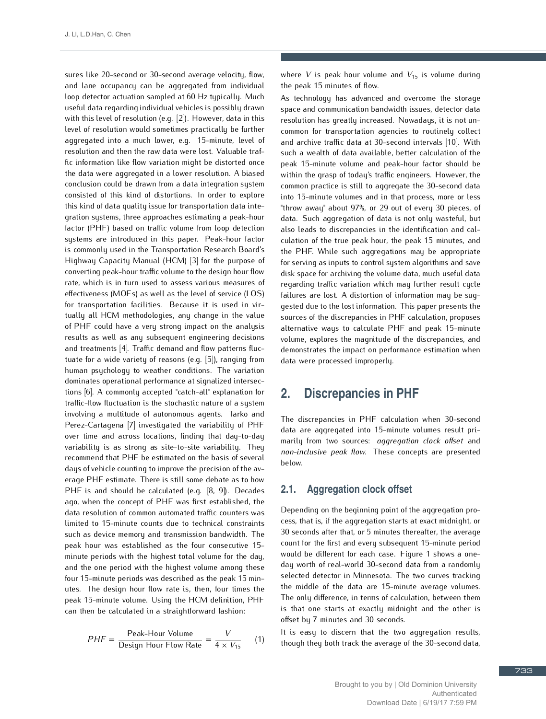sures like 20-second or 30-second average velocity, flow, loop detector actuation sampled at 60 Hz typically. Much useful data regarding individual vehicles is possibly drawn with this level of resolution (e.g.  $[2]$ ). However, data in this level of resolution would sometimes practically be further aggregated into a much lower, e.g. 15-minute, level of resolution and then the raw data were lost. Valuable traffic information like flow variation might be distorted once the data were aggregated in a lower resolution. A biased conclusion could be drawn from a data integration system consisted of this kind of distortions. In order to explore this kind of data quality issue for transportation data integration systems, three approaches estimating a peak-hour factor (PHF) based on traffic volume from loop detection systems are introduced in this paper. Peak-hour factor is commonly used in the Transportation Research Board's Highway Capacity Manual (HCM) [3] for the purpose of converting peak-hour traffic volume to the design hour flow rate, which is in turn used to assess various measures of effectiveness (MOEs) as well as the level of service (LOS) for transportation facilities. Because it is used in virtually all HCM methodologies, any change in the value of PHF could have a very strong impact on the analysis results as well as any subsequent engineering decisions and treatments [4]. Traffic demand and flow patterns fluctuate for a wide variety of reasons (e.g. [5]), ranging from human psychology to weather conditions. The variation dominates operational performance at signalized intersections [6]. A commonly accepted "catch-all" explanation for traffic-flow fluctuation is the stochastic nature of a system involving a multitude of autonomous agents. Tarko and Perez-Cartagena [7] investigated the variability of PHF over time and across locations, finding that day-to-day variability is as strong as site-to-site variability. They recommend that PHF be estimated on the basis of several days of vehicle counting to improve the precision of the average PHF estimate. There is still some debate as to how PHF is and should be calculated (e.g.  $[8, 9]$ ). Decades ago, when the concept of PHF was first established, the data resolution of common automated traffic counters was limited to 15-minute counts due to technical constraints such as device memory and transmission bandwidth. The peak hour was established as the four consecutive 15minute periods with the highest total volume for the day, and the one period with the highest volume among these four 15-minute periods was described as the peak 15 minutes. The design hour flow rate is, then, four times the peak 15-minute volume. Using the HCM definition, PHF peak 15-minute volume. Soing the HCM definition, PHF can then be calculated in a straightforward fashion:

$$
PHF = \frac{\text{Peak-Hour Volume}}{\text{Design Hour Flow Rate}} = \frac{V}{4 \times V_{15}} \qquad (1)
$$

where *V* is peak hour volume and  $V_{15}$  is volume during the peak 15 minutes of flow.

As technology has advanced and overcome the storage space and communication bandwidth issues, detector data resolution has greatly increased. Nowadays, it is not uncommon for transportation agencies to routinely collect and archive traffic data at 30-second intervals [10]. With such a wealth of data available, better calculation of the peak 15-minute volume and peak-hour factor should be within the grasp of today's traffic engineers. However, the common practice is still to aggregate the 30-second data into 15-minute volumes and in that process, more or less "throw away" about 97%, or 29 out of every 30 pieces, of data. Such aggregation of data is not only wasteful, but also leads to discrepancies in the identification and calculation of the true peak hour, the peak 15 minutes, and the PHF. While such aggregations may be appropriate for serving as inputs to control system algorithms and save disk space for archiving the volume data, much useful data regarding traffic variation which may further result cycle failures are lost. A distortion of information may be suggested due to the lost information. This paper presents the sources of the discrepancies in PHF calculation, proposes alternative ways to calculate PHF and peak 15-minute volume, explores the magnitude of the discrepancies, and demonstrates the impact on performance estimation when  $\frac{1}{\sqrt{2}}$  definition  $\frac{1}{\sqrt{2}}$  on performance estimation when  $\frac{1}{\sqrt{2}}$ data were processed improperly.

## **2. Discrepancies in PHF**

The discrepancies in PHF calculation when 30-second data are aggregated into 15-minute volumes result pri-marily from two sources: *aggregation clock offset* and *non-inclusive peak flow*. These concepts are presented

#### **2.1. Aggregation clock offset**

Depending on the beginning point of the aggregation pro-30 seconds after that, or 5 minutes thereafter, the average count for the first and every subsequent 15-minute period would be different for each case. Figure 1 shows a oneday worth of real-world 30-second data from a randomly selected detector in Minnesota. The two curves tracking the middle of the data are 15-minute average volumes. The only difference, in terms of calculation, between them is that one starts at exactly midnight and the other is is that one starts at exactly midnight and the other is offset by 7 minutes and 30 seconds.

It is easy to discern that the two aggregation results, though they both track the average of the 30-second data,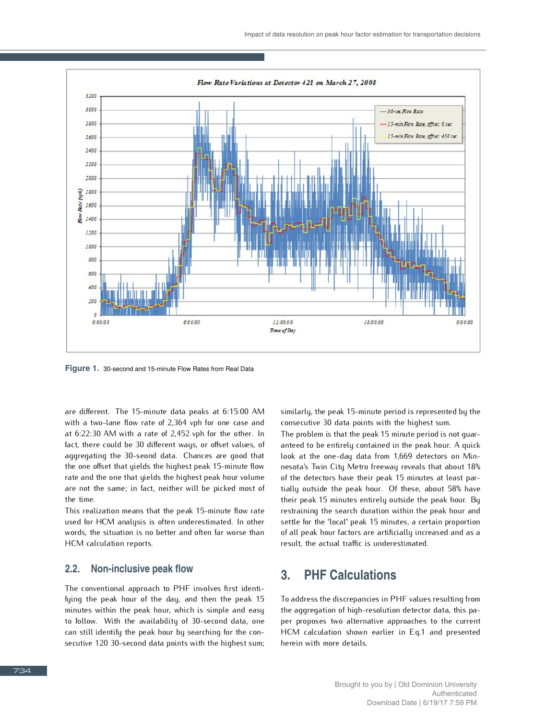

**Figure 1.** 30-second and 15-minute Flow Rates from Real Data

are different. The 15-minute data peaks at 6:15:00 AM at  $6:22:30$  AM with a rate of 2,452 vph for the other. In fact, there could be 30 different ways, or offset values, of aggregating the 30-seond data. Chances are good that the one offset that yields the highest peak 15-minute flow rate and the one that yields the highest peak hour volume rate and the one that yields the highest peak hour vertices are not the same; in fact, neither will be picked most of the time.<br>This realization means that the peak 15-minute flow rate

used for HCM analysis is often underestimated. In other used for HCM analysis is often understandated. In other words, the situation is no better and often far worse than HCM calculation reports.

#### **2.2. Non-inclusive peak flow**

The conventional approach to PHF involves first identiminutes within the peak hour, which is simple and easy to follow. With the availability of 30-second data, one can still identify the peak hour by searching for the concan still identify the peak hour by searching for the consecutive 120 30-second data points with the highest sum;

similarly, the peak 15-minute period is represented by the

The problem is that the peak 15 minute period is not quaranteed to be entirely contained in the peak hour. A quick look at the one-day data from 1,669 detectors on Minnesota's Twin City Metro freeway reveals that about 18% of the detectors have their peak 15 minutes at least partially outside the peak hour. Of these, about 58% have their peak 15 minutes entirely outside the peak hour. By restraining the search duration within the peak hour and settle for the "local" peak 15 minutes, a certain proportion of all peak hour factors are artificially increased and as a result, the actual traffic is underestimated. result, the actual traffic is underestimated.

## **3. PHF Calculations**

To address the discrepancies in PHF values resulting from per proposes two alternative approaches to the current HCM calculation shown earlier in Eq.1 and presented herein with more details.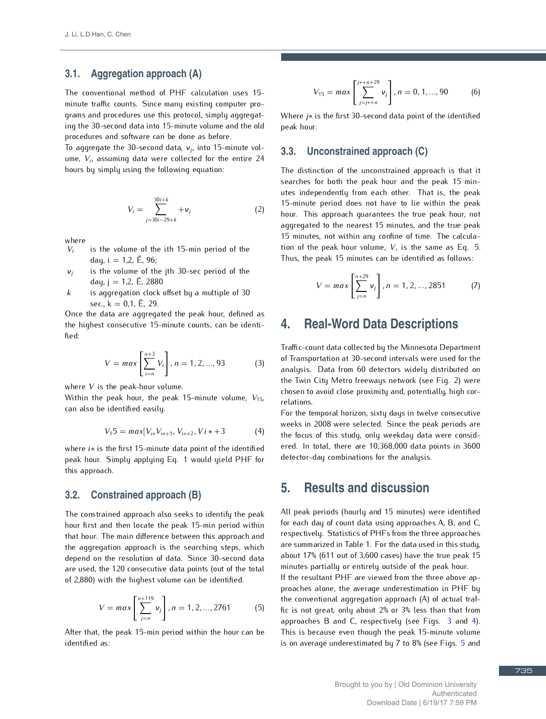#### **3.1. Aggregation approach (A)**

The conventional method of PHF calculation uses 15 grams and procedures use this protocol, simply aggregating the 30-second data into 15-minute volume and the old procedures and software can be done as before.

το aggregate the 30-second data, *ν<sub>j</sub>*, into 15-m<br>ume. Ve assuming data were callected for the ume,  $V_i$ , assuming data were collected for the entire 24 , assuming the following counting  $\alpha$ hours by simply using the following equation:

$$
V_i = \sum_{j=30i-29+k}^{30i+k} + v_j
$$
 (2)

where

- $V_i$ is the volume of the ith 15-min period of the day,  $i = 1,2, \tilde{E}, 96$ ;
- is the volume of the jth 30-sec period of the *νj* day,  $j = 1, 2, E$ , 2880
- $k$  is aggregation clock offset by a multiple of 30

sec.,  $k = 0.1$ ,  $\check{E}$ , 29.<br>Once the data are aggregated the peak hour, defined as once the data are aggregated the peak hour, defined as the highest consecutive 15-minute counts, can be identi-

$$
V = max\left[\sum_{i=n}^{n+3} V_i\right], n = 1, 2, ..., 93
$$
 (3)

where *<sup>V</sup>* is the peak-hour volume.

Within the peak hour, the peak 15-minute volume,  $V_{15}$ , can also be identified easily.

$$
V_15 = max[V_{i*}V_{i*+1}, V_{i*+2}, V_i*+3 \qquad (4)
$$

where *i∗* is the first 15-minute data point of the identified peak hour. Simply applying Eq. 1 would yield PHF for this approach.

#### **3.2. Constrained approach (B)**

The constrained approach also seeks to identify the peak that hour. The main difference between this approach and the aggregation approach is the searching steps, which depend on the resolution of data. Since 30-second data are used, the 120 consecutive data points (out of the total are used, the 120 consecutive data points (out of the total<br>of 2.990) with the highest volume can be identified. of 2,880) with the highest volume can be identified.

$$
V = max\left[\sum_{j=n}^{n+119} v_j\right], n = 1, 2, ..., 2761
$$
 (5)

After that, the peak 15-min period within the hour can be

$$
V_{15} = max \left[ \sum_{j=j*+n}^{j*+n+29} v_j \right], n = 0, 1, ..., 90 \quad (6)
$$

Where *j∗* is the first 30-second data point of the identified peak hour.

#### **3.3. Unconstrained approach (C)**

The distinction of the unconstrained approach is that it searches for both the peak hour and the peak 15 minutes independently from each other. That is, the peak 15-minute period does not have to lie within the peak hour. This approach quarantees the true peak hour, not aggregated to the nearest 15 minutes, and the true peak 15 minutes, not within any confine of time. The calcula-15 minutes, not minutes, not minutes,  $V$ , is the same as Eq. 5.<br>Thus the peak hour volume,  $V$ , is the same as Eq. 5. Thus, the peak 15 minutes can be identified as follows:

$$
V = max\left[\sum_{j=n}^{n+29} v_j\right], n = 1, 2, ..., 2851
$$
 (7)

## **4. Real-Word Data Descriptions**

Traffic-count data collected by the Minnesota Department analysis. Data from 60 detectors widely distributed on the Twin City Metro freeways network (see Fig. 2) were the Twin City Metro freemays network (see Fig. 2) were chosen to avoid close proximity and, potentially, high correlations.<br>For the temporal horizon, sixty days in twelve consecutive

weeks in 2008 were selected. Since the peak periods are the focus of this study, only weekday data were considered. In total, there are 10,368,000 data points in 3600 detector-day combinations for the analysis. detector-day combinations for the analysis.

### **5. Results and discussion**

All peak periods (hourly and 15 minutes) were identified for each day of count data using approaches A, B, and C, respectively. Statistics of PHFs from the three approaches are summarized in Table 1. For the data used in this study, about  $17\%$  (611 out of 3,600 cases) have the true peak 15 minutes partially or entirely outside of the peak hour. If the resultant PHF are viewed from the three above approaches alone, the average underestimation in PHF by

the conventional aggregation approach  $(A)$  of actual traffic is not great, only about 2% or 3% less than that from approaches B and C, respectively (see Figs.  $3$  and 4). This is because even though the peak 15-minute volume This is because even though the peak 15-minute v[olu](#page--1-2)me is on average underestimated by 7 to 8% (see Figs. 5 and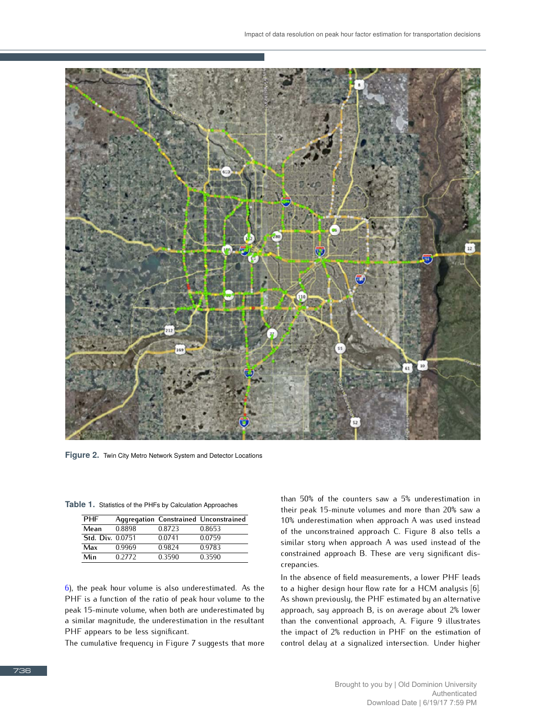

**Figure 2.** Twin City Metro Network System and Detector Locations

|  | <b>PHF</b>              |        |         | <b>Aggregation Constrained Unconstrained</b> |
|--|-------------------------|--------|---------|----------------------------------------------|
|  | Mean                    | 0.8898 | 0.8723  | 0.8653                                       |
|  | <b>Std. Div. 0.0751</b> |        | 0.0741  | 0.0759                                       |
|  | $M = 1$                 | ስ ስስሬስ | ስ ስዕኅ ለ | በ በ702                                       |

**Max** 0.9969 0.9824 0.9783 **Min** 0.2772 0.3590 0.3590

**Table 1.** Statistics of the PHFs by Calculation Approaches

[6\)](#page--1-3), the peak hour volume is also underestimated. As the peak 15-minute volume, when both are underestimated by a similar magnitude, the underestimation in the resultant PHF appears to be less significant.

PHF appears to be less significant. The cumulative frequency in Figure 7 suggests that more than 50% of the counters saw a 5% underestimation in 10% underestimation when approach A was used instead of the unconstrained approach C. Figure 8 also tells a similar story when approach A was used instead of the similar story when approach A was used instead of the constrained approach B. These are very significant discrepancies.<br>In the absence of field measurements, a lower PHF leads

to a higher design hour flow rate for a HCM analysis [6]. As shown previously, the PHF estimated by an alternative approach, say approach B, is on average about 2% lower than the conventional approach, A. Figure 9 illustrates the impact of 2% reduction in PHF on the estimation of the impact of 2% reduction in PHF on the estimation of control delay at a signalized intersection. Under higher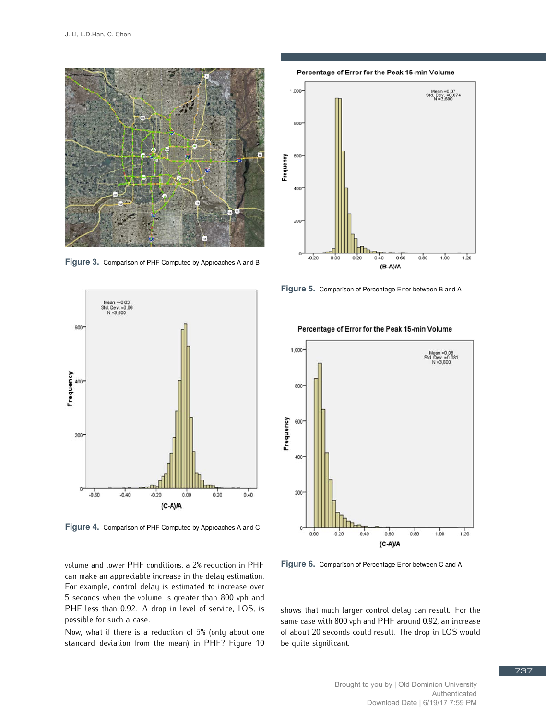

**Figure 3.** Comparison of PHF Computed by Approaches A and B



**Figure 4.** Comparison of PHF Computed by Approaches A and C

volume and lower PHF conditions, a 2% reduction in PHF For example, control delay is estimated to increase over 5 seconds when the volume is greater than 800 vph and 5 seconds when the volume is greater than 800 vph and  $\frac{1}{2}$ possible for such a case.<br>Now, what if there is a reduction of 5% (only about one

Now, what if there is a reduction of 5% (only about one standard deviation from the mean) in PHF? Figure 10

Percentage of Error for the Peak 15-min Volume



**Figure 5.** Comparison of Percentage Error between B and A



Percentage of Error for the Peak 15-min Volume

**Figure 6.** Comparison of Percentage Error between C and A

shows that much larger control delay can result. For the same case with 800 vph and PHF around 0.92, an increase of about 20 seconds could result. The drop in LOS would of about 20 seconds could result. The drop in LOS would be quite significant.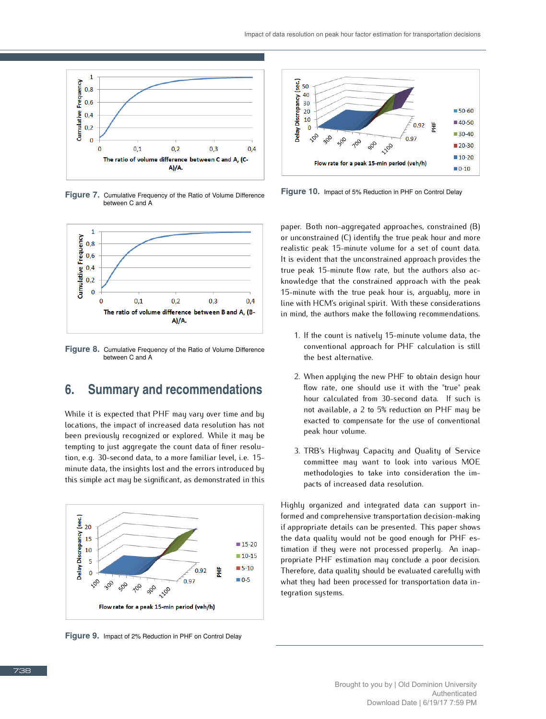

**Figure 7.** Cumulative Frequency of the Ratio of Volume Difference between C and A



**Figure 8.** Cumulative Frequency of the Ratio of Volume Difference between C and A

## **6. Summary and recommendations**

While it is expected that PHF may vary over time and by locations, the impact of increased data resolution has not been previously recognized or explored. While it may be tempting to just aggregate the count data of finer resolution, e.g. 30-second data, to a more familiar level, i.e. 15minute data, the insights lost and the errors introduced by minute data, the insights lost and the errors integrated by this simple act may be significant, as demonstrated in this



**Figure 9.** Impact of 2% Reduction in PHF on Control Delay



**Figure 10.** Impact of 5% Reduction in PHF on Control Delay

paper. Both non-aggregated approaches, constrained (B) or unconstrained (C) identify the true peak hour and more realistic peak 15-minute volume for a set of count data. It is evident that the unconstrained approach provides the true peak 15-minute flow rate, but the authors also acknowledge that the constrained approach with the peak 15-minute with the true peak hour is, arquably, more in line with HCM's original spirit. With these considerations in mind, the authors make the following recommendations. in mind, the authors make the following recommendations.

- 1. If the count is natively 15-minute volume data, the the best alternative.
- 2. When applying the new PHF to obtain design hour hour calculated from 30-second data. If such is not available, a 2 to 5% reduction on PHF may be  $n \times 2$  to  $2 \times 3$  for  $2 \times 3$  reduction  $n \times 2$  for  $n \times 3$  reduced to  $2 \times 3$ exacted to compensate for the use of conventional peak hour volume.
- 3. TRB's Highway Capacity and Quality of Service methodologies to take into consideration the immethodologies to take into consideration the impacts of increased data resolution.

Highly organized and integrated data can support inif appropriate details can be presented. This paper shows the data quality would not be good enough for PHF estimation if they were not processed properly. An inappropriate PHF estimation may conclude a poor decision. Therefore, data quality should be evaluated carefully with Therefore, data quality should be evaluated carefully with what they had been processed for transportation data integration systems.